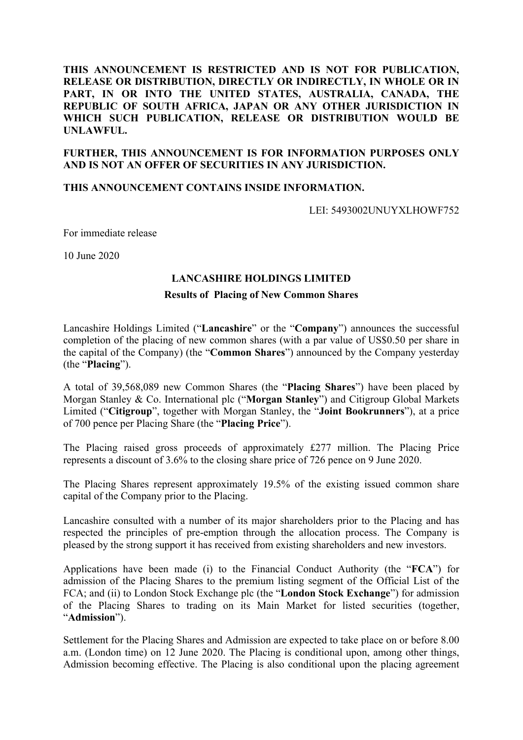# **THIS ANNOUNCEMENT IS RESTRICTED AND IS NOT FOR PUBLICATION, RELEASE OR DISTRIBUTION, DIRECTLY OR INDIRECTLY, IN WHOLE OR IN PART, IN OR INTO THE UNITED STATES, AUSTRALIA, CANADA, THE REPUBLIC OF SOUTH AFRICA, JAPAN OR ANY OTHER JURISDICTION IN WHICH SUCH PUBLICATION, RELEASE OR DISTRIBUTION WOULD BE UNLAWFUL.**

# **FURTHER, THIS ANNOUNCEMENT IS FOR INFORMATION PURPOSES ONLY AND IS NOT AN OFFER OF SECURITIES IN ANY JURISDICTION.**

## **THIS ANNOUNCEMENT CONTAINS INSIDE INFORMATION.**

LEI: 5493002UNUYXLHOWF752

For immediate release

10 June 2020

### **LANCASHIRE HOLDINGS LIMITED**

### **Results of Placing of New Common Shares**

Lancashire Holdings Limited ("**Lancashire**" or the "**Company**") announces the successful completion of the placing of new common shares (with a par value of US\$0.50 per share in the capital of the Company) (the "**Common Shares**") announced by the Company yesterday (the "**Placing**").

A total of 39,568,089 new Common Shares (the "**Placing Shares**") have been placed by Morgan Stanley & Co. International plc ("**Morgan Stanley**") and Citigroup Global Markets Limited ("**Citigroup**", together with Morgan Stanley, the "**Joint Bookrunners**"), at a price of 700 pence per Placing Share (the "**Placing Price**").

The Placing raised gross proceeds of approximately £277 million. The Placing Price represents a discount of 3.6% to the closing share price of 726 pence on 9 June 2020.

The Placing Shares represent approximately 19.5% of the existing issued common share capital of the Company prior to the Placing.

Lancashire consulted with a number of its major shareholders prior to the Placing and has respected the principles of pre-emption through the allocation process. The Company is pleased by the strong support it has received from existing shareholders and new investors.

Applications have been made (i) to the Financial Conduct Authority (the "**FCA**") for admission of the Placing Shares to the premium listing segment of the Official List of the FCA; and (ii) to London Stock Exchange plc (the "**London Stock Exchange**") for admission of the Placing Shares to trading on its Main Market for listed securities (together, "**Admission**").

Settlement for the Placing Shares and Admission are expected to take place on or before 8.00 a.m. (London time) on 12 June 2020. The Placing is conditional upon, among other things, Admission becoming effective. The Placing is also conditional upon the placing agreement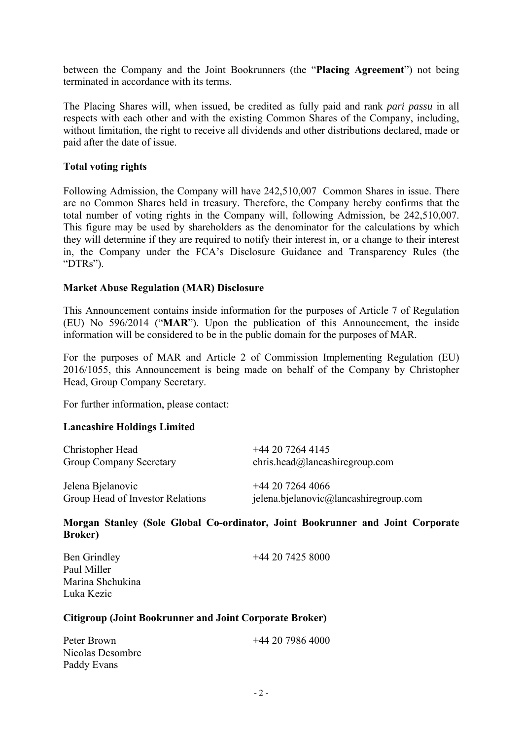between the Company and the Joint Bookrunners (the "**Placing Agreement**") not being terminated in accordance with its terms.

The Placing Shares will, when issued, be credited as fully paid and rank *pari passu* in all respects with each other and with the existing Common Shares of the Company, including, without limitation, the right to receive all dividends and other distributions declared, made or paid after the date of issue.

# **Total voting rights**

Following Admission, the Company will have 242,510,007 Common Shares in issue. There are no Common Shares held in treasury. Therefore, the Company hereby confirms that the total number of voting rights in the Company will, following Admission, be 242,510,007. This figure may be used by shareholders as the denominator for the calculations by which they will determine if they are required to notify their interest in, or a change to their interest in, the Company under the FCA's Disclosure Guidance and Transparency Rules (the "DTRs").

# **Market Abuse Regulation (MAR) Disclosure**

This Announcement contains inside information for the purposes of Article 7 of Regulation (EU) No 596/2014 ("**MAR**"). Upon the publication of this Announcement, the inside information will be considered to be in the public domain for the purposes of MAR.

For the purposes of MAR and Article 2 of Commission Implementing Regulation (EU) 2016/1055, this Announcement is being made on behalf of the Company by Christopher Head, Group Company Secretary.

For further information, please contact:

## **Lancashire Holdings Limited**

| Christopher Head                 | $+442072644145$                              |
|----------------------------------|----------------------------------------------|
| <b>Group Company Secretary</b>   | chris.head@lancashiregroup.com               |
| Jelena Bjelanovic                | $+442072644066$                              |
| Group Head of Investor Relations | $j$ elena.bjelanovic $@$ lancashiregroup.com |

**Morgan Stanley (Sole Global Co-ordinator, Joint Bookrunner and Joint Corporate Broker)** 

| Ben Grindley<br>Paul Miller | $+442074258000$ |
|-----------------------------|-----------------|
| Marina Shchukina            |                 |
| Luka Kezic                  |                 |

## **Citigroup (Joint Bookrunner and Joint Corporate Broker)**

| Peter Brown      | $+442079864000$ |
|------------------|-----------------|
| Nicolas Desombre |                 |
| Paddy Evans      |                 |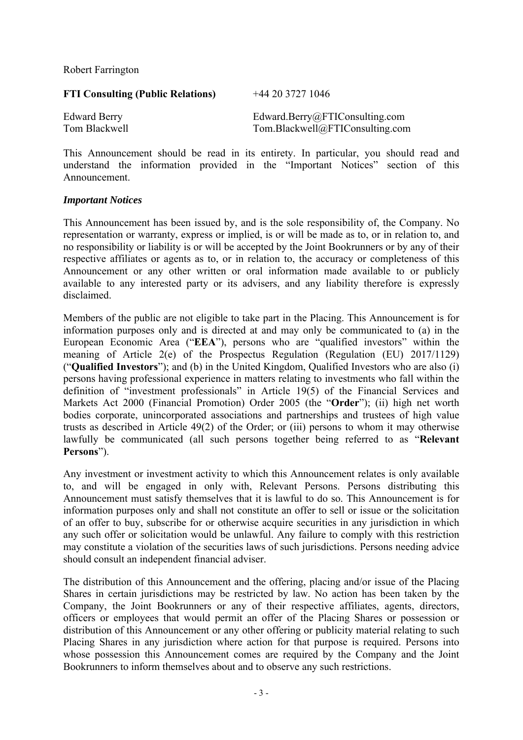Robert Farrington

| <b>FTI Consulting (Public Relations)</b> | $+442037271046$                 |
|------------------------------------------|---------------------------------|
| <b>Edward Berry</b>                      | Edward.Berry@FTIConsulting.com  |
| Tom Blackwell                            | Tom.Blackwell@FTIConsulting.com |

This Announcement should be read in its entirety. In particular, you should read and understand the information provided in the "Important Notices" section of this Announcement.

## *Important Notices*

This Announcement has been issued by, and is the sole responsibility of, the Company. No representation or warranty, express or implied, is or will be made as to, or in relation to, and no responsibility or liability is or will be accepted by the Joint Bookrunners or by any of their respective affiliates or agents as to, or in relation to, the accuracy or completeness of this Announcement or any other written or oral information made available to or publicly available to any interested party or its advisers, and any liability therefore is expressly disclaimed.

Members of the public are not eligible to take part in the Placing. This Announcement is for information purposes only and is directed at and may only be communicated to (a) in the European Economic Area ("**EEA**"), persons who are "qualified investors" within the meaning of Article 2(e) of the Prospectus Regulation (Regulation (EU) 2017/1129) ("**Qualified Investors**"); and (b) in the United Kingdom, Qualified Investors who are also (i) persons having professional experience in matters relating to investments who fall within the definition of "investment professionals" in Article 19(5) of the Financial Services and Markets Act 2000 (Financial Promotion) Order 2005 (the "**Order**"); (ii) high net worth bodies corporate, unincorporated associations and partnerships and trustees of high value trusts as described in Article 49(2) of the Order; or (iii) persons to whom it may otherwise lawfully be communicated (all such persons together being referred to as "**Relevant Persons**").

Any investment or investment activity to which this Announcement relates is only available to, and will be engaged in only with, Relevant Persons. Persons distributing this Announcement must satisfy themselves that it is lawful to do so. This Announcement is for information purposes only and shall not constitute an offer to sell or issue or the solicitation of an offer to buy, subscribe for or otherwise acquire securities in any jurisdiction in which any such offer or solicitation would be unlawful. Any failure to comply with this restriction may constitute a violation of the securities laws of such jurisdictions. Persons needing advice should consult an independent financial adviser.

The distribution of this Announcement and the offering, placing and/or issue of the Placing Shares in certain jurisdictions may be restricted by law. No action has been taken by the Company, the Joint Bookrunners or any of their respective affiliates, agents, directors, officers or employees that would permit an offer of the Placing Shares or possession or distribution of this Announcement or any other offering or publicity material relating to such Placing Shares in any jurisdiction where action for that purpose is required. Persons into whose possession this Announcement comes are required by the Company and the Joint Bookrunners to inform themselves about and to observe any such restrictions.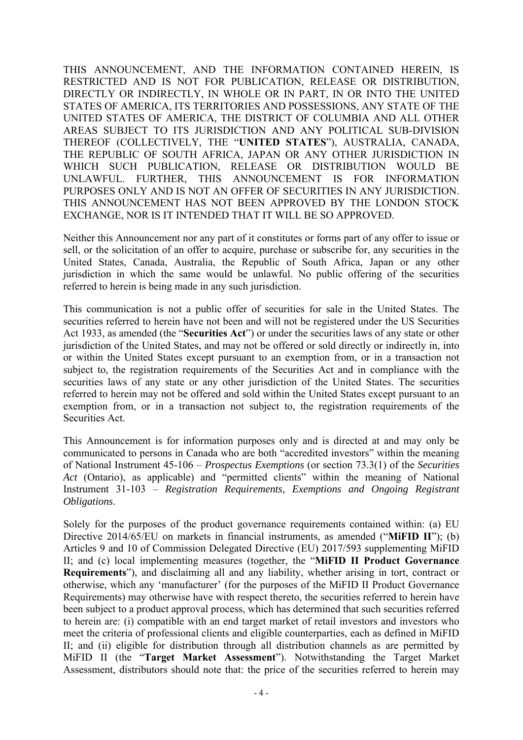THIS ANNOUNCEMENT, AND THE INFORMATION CONTAINED HEREIN, IS RESTRICTED AND IS NOT FOR PUBLICATION, RELEASE OR DISTRIBUTION, DIRECTLY OR INDIRECTLY, IN WHOLE OR IN PART, IN OR INTO THE UNITED STATES OF AMERICA, ITS TERRITORIES AND POSSESSIONS, ANY STATE OF THE UNITED STATES OF AMERICA, THE DISTRICT OF COLUMBIA AND ALL OTHER AREAS SUBJECT TO ITS JURISDICTION AND ANY POLITICAL SUB-DIVISION THEREOF (COLLECTIVELY, THE "**UNITED STATES**"), AUSTRALIA, CANADA, THE REPUBLIC OF SOUTH AFRICA, JAPAN OR ANY OTHER JURISDICTION IN WHICH SUCH PUBLICATION, RELEASE OR DISTRIBUTION WOULD BE UNLAWFUL. FURTHER, THIS ANNOUNCEMENT IS FOR INFORMATION PURPOSES ONLY AND IS NOT AN OFFER OF SECURITIES IN ANY JURISDICTION. THIS ANNOUNCEMENT HAS NOT BEEN APPROVED BY THE LONDON STOCK EXCHANGE, NOR IS IT INTENDED THAT IT WILL BE SO APPROVED.

Neither this Announcement nor any part of it constitutes or forms part of any offer to issue or sell, or the solicitation of an offer to acquire, purchase or subscribe for, any securities in the United States, Canada, Australia, the Republic of South Africa, Japan or any other jurisdiction in which the same would be unlawful. No public offering of the securities referred to herein is being made in any such jurisdiction.

This communication is not a public offer of securities for sale in the United States. The securities referred to herein have not been and will not be registered under the US Securities Act 1933, as amended (the "**Securities Act**") or under the securities laws of any state or other jurisdiction of the United States, and may not be offered or sold directly or indirectly in, into or within the United States except pursuant to an exemption from, or in a transaction not subject to, the registration requirements of the Securities Act and in compliance with the securities laws of any state or any other jurisdiction of the United States. The securities referred to herein may not be offered and sold within the United States except pursuant to an exemption from, or in a transaction not subject to, the registration requirements of the Securities Act.

This Announcement is for information purposes only and is directed at and may only be communicated to persons in Canada who are both "accredited investors" within the meaning of National Instrument 45-106 – *Prospectus Exemptions* (or section 73.3(1) of the *Securities Act* (Ontario), as applicable) and "permitted clients" within the meaning of National Instrument 31-103 – *Registration Requirements, Exemptions and Ongoing Registrant Obligations*.

Solely for the purposes of the product governance requirements contained within: (a) EU Directive 2014/65/EU on markets in financial instruments, as amended ("**MiFID II**"); (b) Articles 9 and 10 of Commission Delegated Directive (EU) 2017/593 supplementing MiFID II; and (c) local implementing measures (together, the "**MiFID II Product Governance Requirements**"), and disclaiming all and any liability, whether arising in tort, contract or otherwise, which any 'manufacturer' (for the purposes of the MiFID II Product Governance Requirements) may otherwise have with respect thereto, the securities referred to herein have been subject to a product approval process, which has determined that such securities referred to herein are: (i) compatible with an end target market of retail investors and investors who meet the criteria of professional clients and eligible counterparties, each as defined in MiFID II; and (ii) eligible for distribution through all distribution channels as are permitted by MiFID II (the "**Target Market Assessment**"). Notwithstanding the Target Market Assessment, distributors should note that: the price of the securities referred to herein may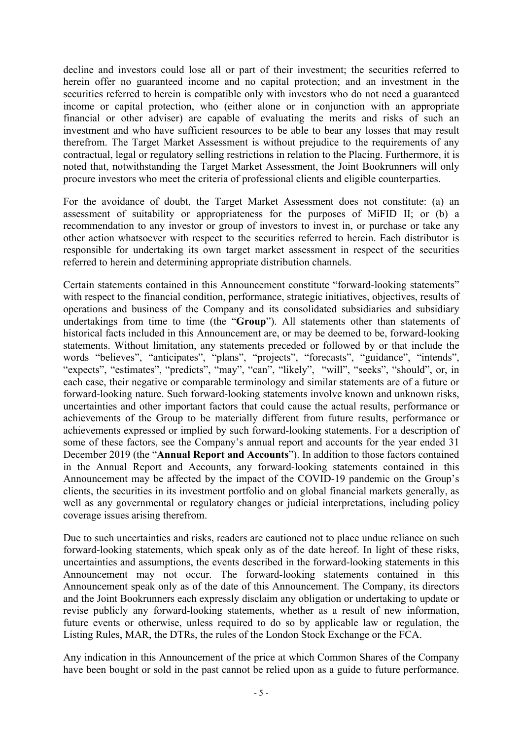decline and investors could lose all or part of their investment; the securities referred to herein offer no guaranteed income and no capital protection; and an investment in the securities referred to herein is compatible only with investors who do not need a guaranteed income or capital protection, who (either alone or in conjunction with an appropriate financial or other adviser) are capable of evaluating the merits and risks of such an investment and who have sufficient resources to be able to bear any losses that may result therefrom. The Target Market Assessment is without prejudice to the requirements of any contractual, legal or regulatory selling restrictions in relation to the Placing. Furthermore, it is noted that, notwithstanding the Target Market Assessment, the Joint Bookrunners will only procure investors who meet the criteria of professional clients and eligible counterparties.

For the avoidance of doubt, the Target Market Assessment does not constitute: (a) an assessment of suitability or appropriateness for the purposes of MiFID II; or (b) a recommendation to any investor or group of investors to invest in, or purchase or take any other action whatsoever with respect to the securities referred to herein. Each distributor is responsible for undertaking its own target market assessment in respect of the securities referred to herein and determining appropriate distribution channels.

Certain statements contained in this Announcement constitute "forward-looking statements" with respect to the financial condition, performance, strategic initiatives, objectives, results of operations and business of the Company and its consolidated subsidiaries and subsidiary undertakings from time to time (the "**Group**"). All statements other than statements of historical facts included in this Announcement are, or may be deemed to be, forward-looking statements. Without limitation, any statements preceded or followed by or that include the words "believes", "anticipates", "plans", "projects", "forecasts", "guidance", "intends", "expects", "estimates", "predicts", "may", "can", "likely", "will", "seeks", "should", or, in each case, their negative or comparable terminology and similar statements are of a future or forward-looking nature. Such forward-looking statements involve known and unknown risks, uncertainties and other important factors that could cause the actual results, performance or achievements of the Group to be materially different from future results, performance or achievements expressed or implied by such forward-looking statements. For a description of some of these factors, see the Company's annual report and accounts for the year ended 31 December 2019 (the "**Annual Report and Accounts**"). In addition to those factors contained in the Annual Report and Accounts, any forward-looking statements contained in this Announcement may be affected by the impact of the COVID-19 pandemic on the Group's clients, the securities in its investment portfolio and on global financial markets generally, as well as any governmental or regulatory changes or judicial interpretations, including policy coverage issues arising therefrom.

Due to such uncertainties and risks, readers are cautioned not to place undue reliance on such forward-looking statements, which speak only as of the date hereof. In light of these risks, uncertainties and assumptions, the events described in the forward-looking statements in this Announcement may not occur. The forward-looking statements contained in this Announcement speak only as of the date of this Announcement. The Company, its directors and the Joint Bookrunners each expressly disclaim any obligation or undertaking to update or revise publicly any forward-looking statements, whether as a result of new information, future events or otherwise, unless required to do so by applicable law or regulation, the Listing Rules, MAR, the DTRs, the rules of the London Stock Exchange or the FCA.

Any indication in this Announcement of the price at which Common Shares of the Company have been bought or sold in the past cannot be relied upon as a guide to future performance.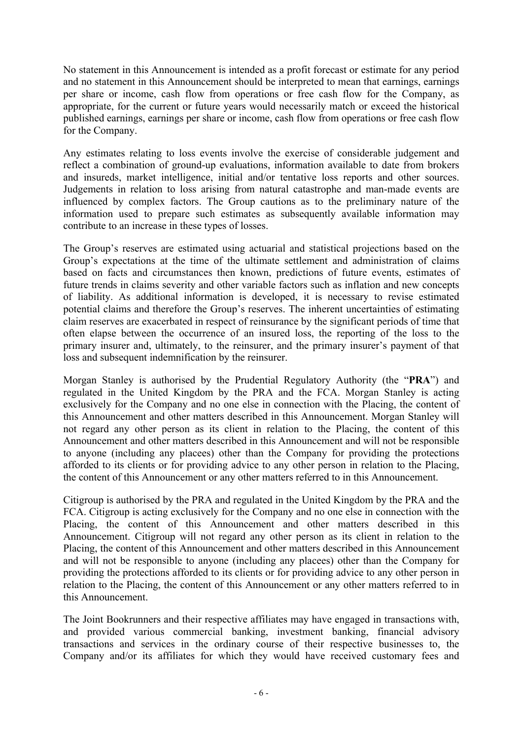No statement in this Announcement is intended as a profit forecast or estimate for any period and no statement in this Announcement should be interpreted to mean that earnings, earnings per share or income, cash flow from operations or free cash flow for the Company, as appropriate, for the current or future years would necessarily match or exceed the historical published earnings, earnings per share or income, cash flow from operations or free cash flow for the Company.

Any estimates relating to loss events involve the exercise of considerable judgement and reflect a combination of ground-up evaluations, information available to date from brokers and insureds, market intelligence, initial and/or tentative loss reports and other sources. Judgements in relation to loss arising from natural catastrophe and man-made events are influenced by complex factors. The Group cautions as to the preliminary nature of the information used to prepare such estimates as subsequently available information may contribute to an increase in these types of losses.

The Group's reserves are estimated using actuarial and statistical projections based on the Group's expectations at the time of the ultimate settlement and administration of claims based on facts and circumstances then known, predictions of future events, estimates of future trends in claims severity and other variable factors such as inflation and new concepts of liability. As additional information is developed, it is necessary to revise estimated potential claims and therefore the Group's reserves. The inherent uncertainties of estimating claim reserves are exacerbated in respect of reinsurance by the significant periods of time that often elapse between the occurrence of an insured loss, the reporting of the loss to the primary insurer and, ultimately, to the reinsurer, and the primary insurer's payment of that loss and subsequent indemnification by the reinsurer.

Morgan Stanley is authorised by the Prudential Regulatory Authority (the "**PRA**") and regulated in the United Kingdom by the PRA and the FCA. Morgan Stanley is acting exclusively for the Company and no one else in connection with the Placing, the content of this Announcement and other matters described in this Announcement. Morgan Stanley will not regard any other person as its client in relation to the Placing, the content of this Announcement and other matters described in this Announcement and will not be responsible to anyone (including any placees) other than the Company for providing the protections afforded to its clients or for providing advice to any other person in relation to the Placing, the content of this Announcement or any other matters referred to in this Announcement.

Citigroup is authorised by the PRA and regulated in the United Kingdom by the PRA and the FCA. Citigroup is acting exclusively for the Company and no one else in connection with the Placing, the content of this Announcement and other matters described in this Announcement. Citigroup will not regard any other person as its client in relation to the Placing, the content of this Announcement and other matters described in this Announcement and will not be responsible to anyone (including any placees) other than the Company for providing the protections afforded to its clients or for providing advice to any other person in relation to the Placing, the content of this Announcement or any other matters referred to in this Announcement.

The Joint Bookrunners and their respective affiliates may have engaged in transactions with, and provided various commercial banking, investment banking, financial advisory transactions and services in the ordinary course of their respective businesses to, the Company and/or its affiliates for which they would have received customary fees and